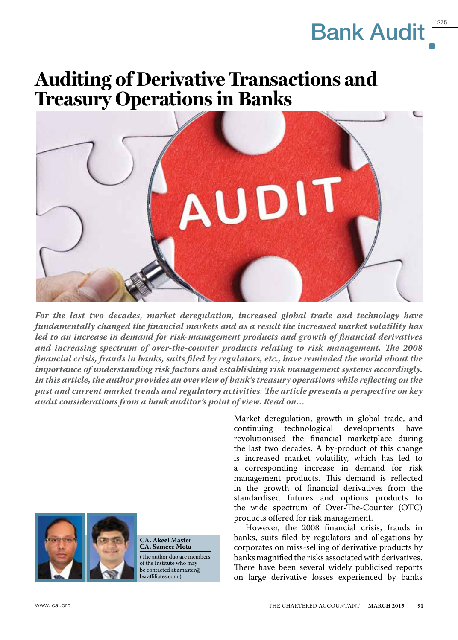1275

### **Auditing of Derivative Transactions and Treasury Operations in Banks**



*For the last two decades, market deregulation, increased global trade and technology have fundamentally changed the financial markets and as a result the increased market volatility has led to an increase in demand for risk-management products and growth of financial derivatives and increasing spectrum of over-the-counter products relating to risk management. The 2008 financial crisis, frauds in banks, suits filed by regulators, etc., have reminded the world about the importance of understanding risk factors and establishing risk management systems accordingly. In this article, the author provides an overview of bank's treasury operations while reflecting on the past and current market trends and regulatory activities. The article presents a perspective on key audit considerations from a bank auditor's point of view. Read on…*

> Market deregulation, growth in global trade, and technological revolutionised the financial marketplace during the last two decades. A by-product of this change is increased market volatility, which has led to a corresponding increase in demand for risk management products. This demand is reflected in the growth of financial derivatives from the standardised futures and options products to the wide spectrum of Over-The-Counter (OTC) products offered for risk management.

> However, the 2008 financial crisis, frauds in banks, suits filed by regulators and allegations by corporates on miss-selling of derivative products by banks magnified the risks associated with derivatives. There have been several widely publicised reports on large derivative losses experienced by banks



#### **CA. Akeel Master CA. Sameer Mota**

(The author duo are members of the Institute who may be contacted at amaster@ bsraffiliates.com.)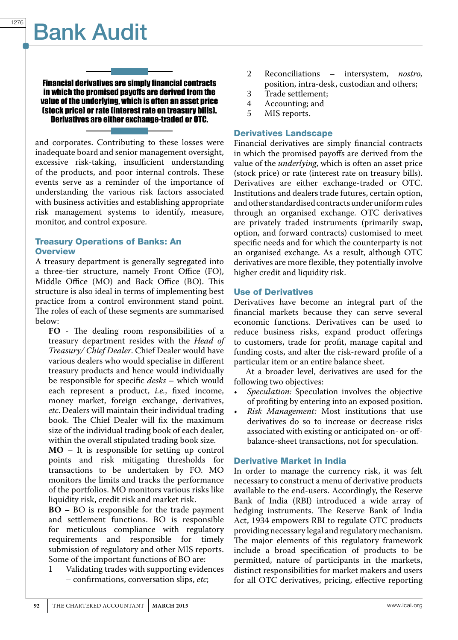Financial derivatives are simply financial contracts in which the promised payoffs are derived from the value of the underlying, which is often an asset price (stock price) or rate (interest rate on treasury bills). Derivatives are either exchange-traded or OTC.

and corporates. Contributing to these losses were inadequate board and senior management oversight, excessive risk-taking, insufficient understanding of the products, and poor internal controls. These events serve as a reminder of the importance of understanding the various risk factors associated with business activities and establishing appropriate risk management systems to identify, measure, monitor, and control exposure.

#### Treasury Operations of Banks: An **Overview**

A treasury department is generally segregated into a three-tier structure, namely Front Office (FO), Middle Office (MO) and Back Office (BO). This structure is also ideal in terms of implementing best practice from a control environment stand point. The roles of each of these segments are summarised below:

**FO** - The dealing room responsibilities of a treasury department resides with the *Head of Treasury/ Chief Dealer*. Chief Dealer would have various dealers who would specialise in different treasury products and hence would individually be responsible for specific *desks* – which would each represent a product, *i.e.*, fixed income, money market, foreign exchange, derivatives, *etc*. Dealers will maintain their individual trading book. The Chief Dealer will fix the maximum size of the individual trading book of each dealer, within the overall stipulated trading book size.

**MO** – It is responsible for setting up control points and risk mitigating thresholds for transactions to be undertaken by FO. MO monitors the limits and tracks the performance of the portfolios. MO monitors various risks like liquidity risk, credit risk and market risk.

**BO** – BO is responsible for the trade payment and settlement functions. BO is responsible for meticulous compliance with regulatory requirements and responsible for timely submission of regulatory and other MIS reports. Some of the important functions of BO are:

1 Validating trades with supporting evidences – confirmations, conversation slips, *etc*;

- 2 Reconciliations intersystem, *nostro,*  position, intra-desk, custodian and others;
- 3 Trade settlement;<br>4 Accounting: and
- Accounting; and
- 5 MIS reports.

### Derivatives Landscape

Financial derivatives are simply financial contracts in which the promised payoffs are derived from the value of the *underlying*, which is often an asset price (stock price) or rate (interest rate on treasury bills). Derivatives are either exchange-traded or OTC. Institutions and dealers trade futures, certain option, and other standardised contracts under uniform rules through an organised exchange. OTC derivatives are privately traded instruments (primarily swap, option, and forward contracts) customised to meet specific needs and for which the counterparty is not an organised exchange. As a result, although OTC derivatives are more flexible, they potentially involve higher credit and liquidity risk.

### Use of Derivatives

Derivatives have become an integral part of the financial markets because they can serve several economic functions. Derivatives can be used to reduce business risks, expand product offerings to customers, trade for profit, manage capital and funding costs, and alter the risk-reward profile of a particular item or an entire balance sheet.

At a broader level, derivatives are used for the following two objectives:

- Speculation: Speculation involves the objective of profiting by entering into an exposed position.
- Risk Management: Most institutions that use derivatives do so to increase or decrease risks associated with existing or anticipated on- or offbalance-sheet transactions, not for speculation.

### Derivative Market in India

In order to manage the currency risk, it was felt necessary to construct a menu of derivative products available to the end-users. Accordingly, the Reserve Bank of India (RBI) introduced a wide array of hedging instruments. The Reserve Bank of India Act, 1934 empowers RBI to regulate OTC products providing necessary legal and regulatory mechanism. The major elements of this regulatory framework include a broad specification of products to be permitted, nature of participants in the markets, distinct responsibilities for market makers and users for all OTC derivatives, pricing, effective reporting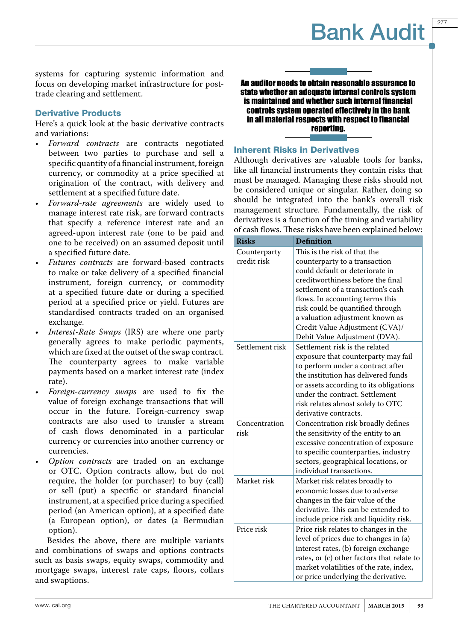1277

systems for capturing systemic information and focus on developing market infrastructure for posttrade clearing and settlement.

### Derivative Products

Here's a quick look at the basic derivative contracts and variations:

- Forward contracts are contracts negotiated between two parties to purchase and sell a specific quantity of a financial instrument, foreign currency, or commodity at a price specified at origination of the contract, with delivery and settlement at a specified future date.
- *Forward-rate agreements* are widely used to manage interest rate risk, are forward contracts that specify a reference interest rate and an agreed-upon interest rate (one to be paid and one to be received) on an assumed deposit until a specified future date.
- Futures contracts are forward-based contracts to make or take delivery of a specified financial instrument, foreign currency, or commodity at a specified future date or during a specified period at a specified price or yield. Futures are standardised contracts traded on an organised exchange.
- *Interest-Rate Swaps* (IRS) are where one party generally agrees to make periodic payments, which are fixed at the outset of the swap contract. The counterparty agrees to make variable payments based on a market interest rate (index rate).
- Foreign-currency swaps are used to fix the value of foreign exchange transactions that will occur in the future. Foreign-currency swap contracts are also used to transfer a stream of cash flows denominated in a particular currency or currencies into another currency or currencies.
- Option contracts are traded on an exchange or OTC. Option contracts allow, but do not require, the holder (or purchaser) to buy (call) or sell (put) a specific or standard financial instrument, at a specified price during a specified period (an American option), at a specified date (a European option), or dates (a Bermudian option).

Besides the above, there are multiple variants and combinations of swaps and options contracts such as basis swaps, equity swaps, commodity and mortgage swaps, interest rate caps, floors, collars and swaptions.

An auditor needs to obtain reasonable assurance to state whether an adequate internal controls system is maintained and whether such internal financial controls system operated effectively in the bank in all material respects with respect to financial reporting.

### Inherent Risks in Derivatives

Although derivatives are valuable tools for banks, like all financial instruments they contain risks that must be managed. Managing these risks should not be considered unique or singular. Rather, doing so should be integrated into the bank's overall risk management structure. Fundamentally, the risk of derivatives is a function of the timing and variability of cash flows. These risks have been explained below:

| <b>Risks</b>    | <b>Definition</b>                          |  |  |
|-----------------|--------------------------------------------|--|--|
| Counterparty    | This is the risk of that the               |  |  |
| credit risk     | counterparty to a transaction              |  |  |
|                 | could default or deteriorate in            |  |  |
|                 | creditworthiness before the final          |  |  |
|                 | settlement of a transaction's cash         |  |  |
|                 | flows. In accounting terms this            |  |  |
|                 | risk could be quantified through           |  |  |
|                 | a valuation adjustment known as            |  |  |
|                 | Credit Value Adjustment (CVA)/             |  |  |
|                 | Debit Value Adjustment (DVA).              |  |  |
| Settlement risk | Settlement risk is the related             |  |  |
|                 | exposure that counterparty may fail        |  |  |
|                 | to perform under a contract after          |  |  |
|                 | the institution has delivered funds        |  |  |
|                 | or assets according to its obligations     |  |  |
|                 | under the contract. Settlement             |  |  |
|                 | risk relates almost solely to OTC          |  |  |
|                 | derivative contracts.                      |  |  |
| Concentration   | Concentration risk broadly defines         |  |  |
| risk            | the sensitivity of the entity to an        |  |  |
|                 | excessive concentration of exposure        |  |  |
|                 | to specific counterparties, industry       |  |  |
|                 | sectors, geographical locations, or        |  |  |
|                 | individual transactions.                   |  |  |
| Market risk     | Market risk relates broadly to             |  |  |
|                 | economic losses due to adverse             |  |  |
|                 | changes in the fair value of the           |  |  |
|                 | derivative. This can be extended to        |  |  |
|                 | include price risk and liquidity risk.     |  |  |
| Price risk      | Price risk relates to changes in the       |  |  |
|                 | level of prices due to changes in (a)      |  |  |
|                 | interest rates, (b) foreign exchange       |  |  |
|                 | rates, or (c) other factors that relate to |  |  |
|                 | market volatilities of the rate, index,    |  |  |
|                 | or price underlying the derivative.        |  |  |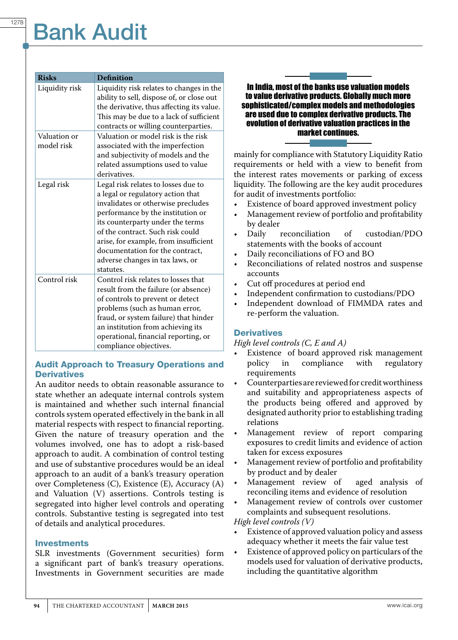| <b>Risks</b>               | <b>Definition</b>                                                                                                                                                                                                                                                                                                                                       |
|----------------------------|---------------------------------------------------------------------------------------------------------------------------------------------------------------------------------------------------------------------------------------------------------------------------------------------------------------------------------------------------------|
| Liquidity risk             | Liquidity risk relates to changes in the<br>ability to sell, dispose of, or close out<br>the derivative, thus affecting its value.<br>This may be due to a lack of sufficient<br>contracts or willing counterparties.                                                                                                                                   |
| Valuation or<br>model risk | Valuation or model risk is the risk<br>associated with the imperfection<br>and subjectivity of models and the<br>related assumptions used to value<br>derivatives.                                                                                                                                                                                      |
| Legal risk                 | Legal risk relates to losses due to<br>a legal or regulatory action that<br>invalidates or otherwise precludes<br>performance by the institution or<br>its counterparty under the terms<br>of the contract. Such risk could<br>arise, for example, from insufficient<br>documentation for the contract,<br>adverse changes in tax laws, or<br>statutes. |
| Control risk               | Control risk relates to losses that<br>result from the failure (or absence)<br>of controls to prevent or detect<br>problems (such as human error,<br>fraud, or system failure) that hinder<br>an institution from achieving its<br>operational, financial reporting, or<br>compliance objectives.                                                       |

### Audit Approach to Treasury Operations and **Derivatives**

An auditor needs to obtain reasonable assurance to state whether an adequate internal controls system is maintained and whether such internal financial controls system operated effectively in the bank in all material respects with respect to financial reporting. Given the nature of treasury operation and the volumes involved, one has to adopt a risk-based approach to audit. A combination of control testing and use of substantive procedures would be an ideal approach to an audit of a bank's treasury operation over Completeness (C), Existence (E), Accuracy (A) and Valuation (V) assertions. Controls testing is segregated into higher level controls and operating controls. Substantive testing is segregated into test of details and analytical procedures.

#### Investments

SLR investments (Government securities) form a significant part of bank's treasury operations. Investments in Government securities are made

### In India, most of the banks use valuation models to value derivative products. Globally much more sophisticated/complex models and methodologies are used due to complex derivative products. The evolution of derivative valuation practices in the market continues.

mainly for compliance with Statutory Liquidity Ratio requirements or held with a view to benefit from the interest rates movements or parking of excess liquidity. The following are the key audit procedures for audit of investments portfolio:

- Existence of board approved investment policy
- Management review of portfolio and profitability by dealer<br>Daily reconciliation
- of custodian/PDO statements with the books of account
- Daily reconciliations of FO and BO
- Reconciliations of related nostros and suspense accounts
- Cut off procedures at period end
- Independent confirmation to custodians/PDO
- Independent download of FIMMDA rates and re-perform the valuation.

### **Derivatives**

*High level controls (C, E and A)*

- Existence of board approved risk management<br>policy in compliance with regulatory policy in compliance with regulatory requirements
- Counterparties are reviewed for credit worthiness and suitability and appropriateness aspects of the products being offered and approved by designated authority prior to establishing trading relations
- Management review of report comparing exposures to credit limits and evidence of action taken for excess exposures
- Management review of portfolio and profitability by product and by dealer
- • Management review of aged analysis of reconciling items and evidence of resolution
- Management review of controls over customer complaints and subsequent resolutions.

*High level controls (V)*

- Existence of approved valuation policy and assess adequacy whether it meets the fair value test
- Existence of approved policy on particulars of the models used for valuation of derivative products, including the quantitative algorithm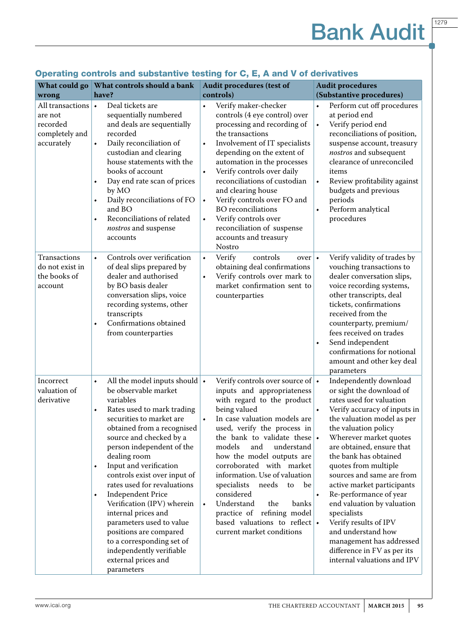|                                                                         | What could go   What controls should a bank                                                                                                                                                                                                                                                                                                                                                                                                                                                                                                                                                                                | <b>Audit procedures (test of</b>                                                                                                                                                                                                                                                                                                                                                                                                                                                                                                                       | <b>Audit procedures</b>                                                                                                                                                                                                                                                                                                                                                                                                                                                                                                                                              |
|-------------------------------------------------------------------------|----------------------------------------------------------------------------------------------------------------------------------------------------------------------------------------------------------------------------------------------------------------------------------------------------------------------------------------------------------------------------------------------------------------------------------------------------------------------------------------------------------------------------------------------------------------------------------------------------------------------------|--------------------------------------------------------------------------------------------------------------------------------------------------------------------------------------------------------------------------------------------------------------------------------------------------------------------------------------------------------------------------------------------------------------------------------------------------------------------------------------------------------------------------------------------------------|----------------------------------------------------------------------------------------------------------------------------------------------------------------------------------------------------------------------------------------------------------------------------------------------------------------------------------------------------------------------------------------------------------------------------------------------------------------------------------------------------------------------------------------------------------------------|
| wrong                                                                   | have?                                                                                                                                                                                                                                                                                                                                                                                                                                                                                                                                                                                                                      | controls)                                                                                                                                                                                                                                                                                                                                                                                                                                                                                                                                              | (Substantive procedures)                                                                                                                                                                                                                                                                                                                                                                                                                                                                                                                                             |
| All transactions<br>are not<br>recorded<br>completely and<br>accurately | Deal tickets are<br>$\bullet$<br>sequentially numbered<br>and deals are sequentially<br>recorded<br>Daily reconciliation of<br>$\bullet$<br>custodian and clearing<br>house statements with the<br>books of account<br>Day end rate scan of prices<br>$\bullet$<br>by MO<br>Daily reconciliations of FO<br>$\bullet$<br>and BO<br>Reconciliations of related<br>$\bullet$<br>nostros and suspense<br>accounts                                                                                                                                                                                                              | Verify maker-checker<br>۰<br>controls (4 eye control) over<br>processing and recording of<br>the transactions<br>Involvement of IT specialists<br>$\bullet$<br>depending on the extent of<br>automation in the processes<br>Verify controls over daily<br>$\bullet$<br>reconciliations of custodian<br>and clearing house<br>Verify controls over FO and<br>$\bullet$<br><b>BO</b> reconciliations<br>Verify controls over<br>$\bullet$<br>reconciliation of suspense<br>accounts and treasury<br>Nostro                                               | Perform cut off procedures<br>$\bullet$<br>at period end<br>Verify period end<br>$\bullet$<br>reconciliations of position,<br>suspense account, treasury<br>nostros and subsequent<br>clearance of unreconciled<br>items<br>Review profitability against<br>$\bullet$<br>budgets and previous<br>periods<br>Perform analytical<br>$\bullet$<br>procedures                                                                                                                                                                                                            |
| Transactions<br>do not exist in<br>the books of<br>account              | Controls over verification<br>$\bullet$<br>of deal slips prepared by<br>dealer and authorised<br>by BO basis dealer<br>conversation slips, voice<br>recording systems, other<br>transcripts<br>Confirmations obtained<br>$\bullet$<br>from counterparties                                                                                                                                                                                                                                                                                                                                                                  | Verify<br>controls<br>$\bullet$<br>over<br>obtaining deal confirmations<br>Verify controls over mark to<br>$\bullet$<br>market confirmation sent to<br>counterparties                                                                                                                                                                                                                                                                                                                                                                                  | Verify validity of trades by<br>$\bullet$<br>vouching transactions to<br>dealer conversation slips,<br>voice recording systems,<br>other transcripts, deal<br>tickets, confirmations<br>received from the<br>counterparty, premium/<br>fees received on trades<br>Send independent<br>$\bullet$<br>confirmations for notional<br>amount and other key deal<br>parameters                                                                                                                                                                                             |
| Incorrect<br>valuation of<br>derivative                                 | All the model inputs should $\cdot$<br>$\bullet$<br>be observable market<br>variables<br>Rates used to mark trading<br>$\bullet$<br>securities to market are<br>obtained from a recognised<br>source and checked by a<br>person independent of the<br>dealing room<br>Input and verification<br>$\bullet$<br>controls exist over input of<br>rates used for revaluations<br><b>Independent Price</b><br>$\bullet$<br>Verification (IPV) wherein<br>internal prices and<br>parameters used to value<br>positions are compared<br>to a corresponding set of<br>independently verifiable<br>external prices and<br>parameters | Verify controls over source of $\cdot$<br>inputs and appropriateness<br>with regard to the product<br>being valued<br>In case valuation models are<br>$\bullet$<br>used, verify the process in<br>the bank to validate these $\cdot$<br>models and understand<br>how the model outputs are<br>corroborated with market<br>information. Use of valuation<br>specialists<br>needs<br>to<br>be<br>considered<br>Understand<br>the<br>banks<br>$\bullet$<br>practice of refining model<br>based valuations to reflect $\cdot$<br>current market conditions | Independently download<br>or sight the download of<br>rates used for valuation<br>Verify accuracy of inputs in<br>the valuation model as per<br>the valuation policy<br>Wherever market quotes<br>are obtained, ensure that<br>the bank has obtained<br>quotes from multiple<br>sources and same are from<br>active market participants<br>Re-performance of year<br>$\bullet$<br>end valuation by valuation<br>specialists<br>Verify results of IPV<br>and understand how<br>management has addressed<br>difference in FV as per its<br>internal valuations and IPV |

### Operating controls and substantive testing for C, E, A and V of derivatives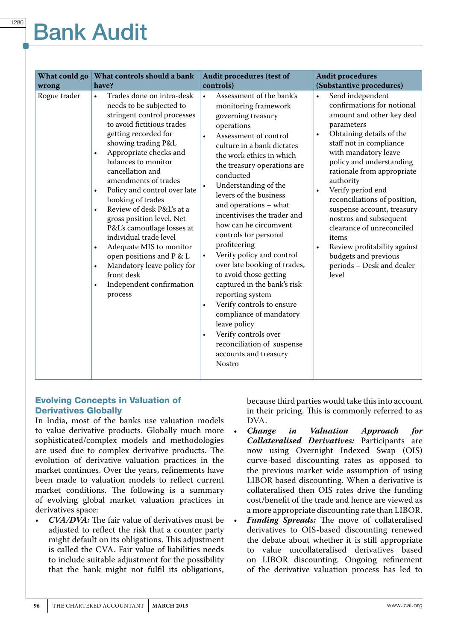| What could go | <b>What controls should a bank</b>                                                                                                                                                                                                                                                                                                                                                                                                                                                                                                                                                                                         | <b>Audit procedures (test of</b>                                                                                                                                                                                                                                                                                                                                                                                                                                                                                                                                                                                                                                                                                               | <b>Audit procedures</b>                                                                                                                                                                                                                                                                                                                                                                                                                                                                                                 |
|---------------|----------------------------------------------------------------------------------------------------------------------------------------------------------------------------------------------------------------------------------------------------------------------------------------------------------------------------------------------------------------------------------------------------------------------------------------------------------------------------------------------------------------------------------------------------------------------------------------------------------------------------|--------------------------------------------------------------------------------------------------------------------------------------------------------------------------------------------------------------------------------------------------------------------------------------------------------------------------------------------------------------------------------------------------------------------------------------------------------------------------------------------------------------------------------------------------------------------------------------------------------------------------------------------------------------------------------------------------------------------------------|-------------------------------------------------------------------------------------------------------------------------------------------------------------------------------------------------------------------------------------------------------------------------------------------------------------------------------------------------------------------------------------------------------------------------------------------------------------------------------------------------------------------------|
| wrong         | have?                                                                                                                                                                                                                                                                                                                                                                                                                                                                                                                                                                                                                      | controls)                                                                                                                                                                                                                                                                                                                                                                                                                                                                                                                                                                                                                                                                                                                      | (Substantive procedures)                                                                                                                                                                                                                                                                                                                                                                                                                                                                                                |
| Rogue trader  | Trades done on intra-desk<br>$\bullet$<br>needs to be subjected to<br>stringent control processes<br>to avoid fictitious trades<br>getting recorded for<br>showing trading P&L<br>Appropriate checks and<br>٠<br>balances to monitor<br>cancellation and<br>amendments of trades<br>Policy and control over late<br>٠<br>booking of trades<br>Review of desk P&L's at a<br>٠<br>gross position level. Net<br>P&L's camouflage losses at<br>individual trade level<br>Adequate MIS to monitor<br>٠<br>open positions and P & L<br>Mandatory leave policy for<br>۰<br>front desk<br>Independent confirmation<br>٠<br>process | Assessment of the bank's<br>۰<br>monitoring framework<br>governing treasury<br>operations<br>Assessment of control<br>culture in a bank dictates<br>the work ethics in which<br>the treasury operations are<br>conducted<br>Understanding of the<br>levers of the business<br>and operations - what<br>incentivises the trader and<br>how can he circumvent<br>controls for personal<br>profiteering<br>Verify policy and control<br>۰<br>over late booking of trades,<br>to avoid those getting<br>captured in the bank's risk<br>reporting system<br>Verify controls to ensure<br>۰<br>compliance of mandatory<br>leave policy<br>Verify controls over<br>٠<br>reconciliation of suspense<br>accounts and treasury<br>Nostro | Send independent<br>$\bullet$<br>confirmations for notional<br>amount and other key deal<br>parameters<br>Obtaining details of the<br>٠<br>staff not in compliance<br>with mandatory leave<br>policy and understanding<br>rationale from appropriate<br>authority<br>Verify period end<br>٠<br>reconciliations of position,<br>suspense account, treasury<br>nostros and subsequent<br>clearance of unreconciled<br>items<br>Review profitability against<br>budgets and previous<br>periods - Desk and dealer<br>level |

### Evolving Concepts in Valuation of Derivatives Globally

In India, most of the banks use valuation models to value derivative products. Globally much more sophisticated/complex models and methodologies are used due to complex derivative products. The evolution of derivative valuation practices in the market continues. Over the years, refinements have been made to valuation models to reflect current market conditions. The following is a summary of evolving global market valuation practices in derivatives space:

CVA/DVA: The fair value of derivatives must be adjusted to reflect the risk that a counter party might default on its obligations. This adjustment is called the CVA. Fair value of liabilities needs to include suitable adjustment for the possibility that the bank might not fulfil its obligations,

because third parties would take this into account in their pricing. This is commonly referred to as DVA.<br>Change

- • *Change in Valuation Approach for Collateralised Derivatives:* Participants are now using Overnight Indexed Swap (OIS) curve-based discounting rates as opposed to the previous market wide assumption of using LIBOR based discounting. When a derivative is collateralised then OIS rates drive the funding cost/benefit of the trade and hence are viewed as a more appropriate discounting rate than LIBOR.
	- **Funding Spreads:** The move of collateralised derivatives to OIS-based discounting renewed the debate about whether it is still appropriate to value uncollateralised derivatives based on LIBOR discounting. Ongoing refinement of the derivative valuation process has led to